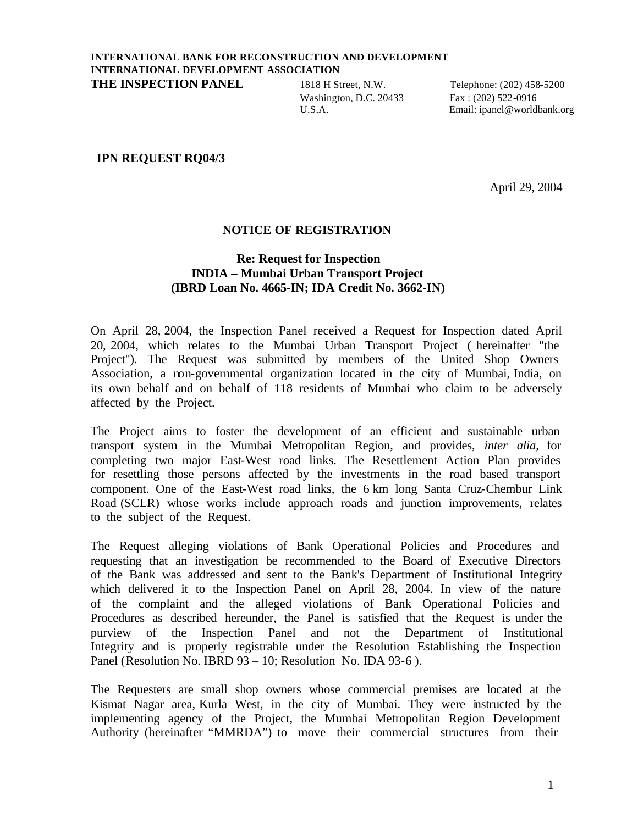**THE INSPECTION PANEL** 1818 H Street, N.W. Telephone: (202) 458-5200

Washington, D.C. 20433 Fax: (202) 522-0916

U.S.A. Email: ipanel@worldbank.org

## **IPN REQUEST RQ04/3**

April 29, 2004

## **NOTICE OF REGISTRATION**

## **Re: Request for Inspection INDIA – Mumbai Urban Transport Project (IBRD Loan No. 4665-IN; IDA Credit No. 3662-IN)**

On April 28, 2004, the Inspection Panel received a Request for Inspection dated April 20, 2004, which relates to the Mumbai Urban Transport Project ( hereinafter "the Project"). The Request was submitted by members of the United Shop Owners Association, a non-governmental organization located in the city of Mumbai, India, on its own behalf and on behalf of 118 residents of Mumbai who claim to be adversely affected by the Project.

The Project aims to foster the development of an efficient and sustainable urban transport system in the Mumbai Metropolitan Region, and provides, *inter alia*, for completing two major East-West road links. The Resettlement Action Plan provides for resettling those persons affected by the investments in the road based transport component. One of the East-West road links, the 6 km long Santa Cruz-Chembur Link Road (SCLR) whose works include approach roads and junction improvements, relates to the subject of the Request.

The Request alleging violations of Bank Operational Policies and Procedures and requesting that an investigation be recommended to the Board of Executive Directors of the Bank was addressed and sent to the Bank's Department of Institutional Integrity which delivered it to the Inspection Panel on April 28, 2004. In view of the nature of the complaint and the alleged violations of Bank Operational Policies and Procedures as described hereunder, the Panel is satisfied that the Request is under the purview of the Inspection Panel and not the Department of Institutional Integrity and is properly registrable under the Resolution Establishing the Inspection Panel (Resolution No. IBRD 93 – 10; Resolution No. IDA 93-6).

The Requesters are small shop owners whose commercial premises are located at the Kismat Nagar area, Kurla West, in the city of Mumbai. They were instructed by the implementing agency of the Project, the Mumbai Metropolitan Region Development Authority (hereinafter "MMRDA") to move their commercial structures from their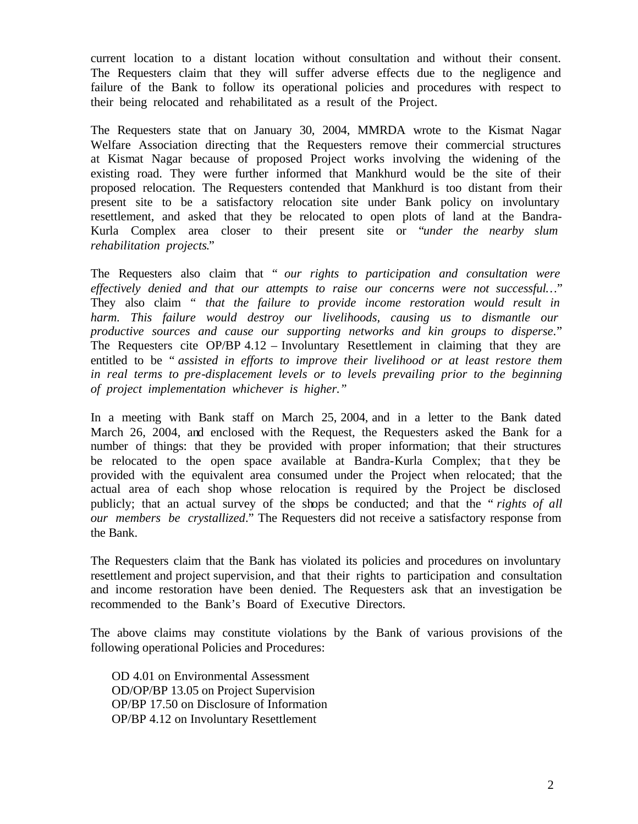current location to a distant location without consultation and without their consent. The Requesters claim that they will suffer adverse effects due to the negligence and failure of the Bank to follow its operational policies and procedures with respect to their being relocated and rehabilitated as a result of the Project.

The Requesters state that on January 30, 2004, MMRDA wrote to the Kismat Nagar Welfare Association directing that the Requesters remove their commercial structures at Kismat Nagar because of proposed Project works involving the widening of the existing road. They were further informed that Mankhurd would be the site of their proposed relocation. The Requesters contended that Mankhurd is too distant from their present site to be a satisfactory relocation site under Bank policy on involuntary resettlement, and asked that they be relocated to open plots of land at the Bandra-Kurla Complex area closer to their present site or "*under the nearby slum rehabilitation projects*."

The Requesters also claim that " *our rights to participation and consultation were effectively denied and that our attempts to raise our concerns were not successful…*" They also claim " *that the failure to provide income restoration would result in harm. This failure would destroy our livelihoods, causing us to dismantle our productive sources and cause our supporting networks and kin groups to disperse*." The Requesters cite OP/BP 4.12 – Involuntary Resettlement in claiming that they are entitled to be " *assisted in efforts to improve their livelihood or at least restore them in real terms to pre-displacement levels or to levels prevailing prior to the beginning of project implementation whichever is higher."*

In a meeting with Bank staff on March 25, 2004, and in a letter to the Bank dated March 26, 2004, and enclosed with the Request, the Requesters asked the Bank for a number of things: that they be provided with proper information; that their structures be relocated to the open space available at Bandra-Kurla Complex; that they be provided with the equivalent area consumed under the Project when relocated; that the actual area of each shop whose relocation is required by the Project be disclosed publicly; that an actual survey of the shops be conducted; and that the " *rights of all our members be crystallized*." The Requesters did not receive a satisfactory response from the Bank.

The Requesters claim that the Bank has violated its policies and procedures on involuntary resettlement and project supervision, and that their rights to participation and consultation and income restoration have been denied. The Requesters ask that an investigation be recommended to the Bank's Board of Executive Directors.

The above claims may constitute violations by the Bank of various provisions of the following operational Policies and Procedures:

OD 4.01 on Environmental Assessment OD/OP/BP 13.05 on Project Supervision OP/BP 17.50 on Disclosure of Information OP/BP 4.12 on Involuntary Resettlement